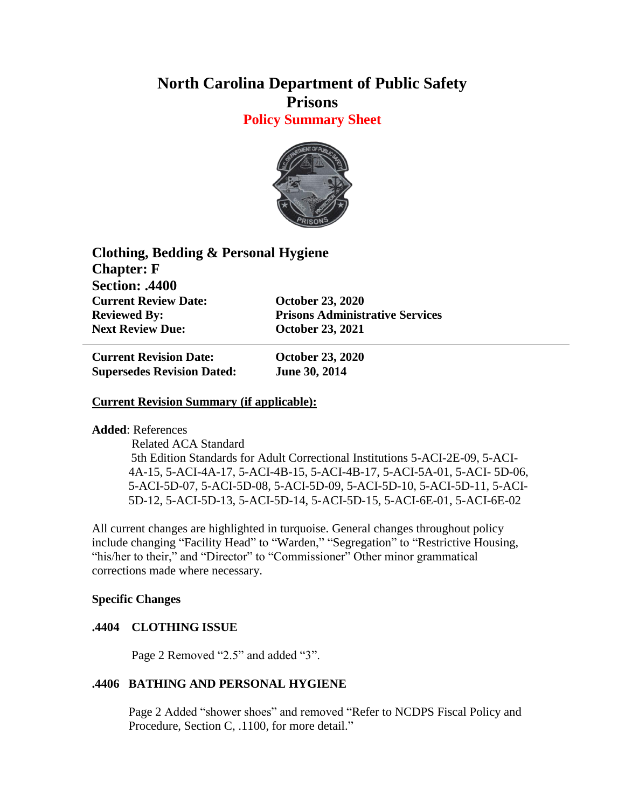# **North Carolina Department of Public Safety Prisons**

**Policy Summary Sheet**



| Clothing, Bedding & Personal Hygiene |                                        |
|--------------------------------------|----------------------------------------|
| <b>Chapter: F</b>                    |                                        |
| <b>Section: .4400</b>                |                                        |
| <b>Current Review Date:</b>          | <b>October 23, 2020</b>                |
| <b>Reviewed By:</b>                  | <b>Prisons Administrative Services</b> |
| <b>Next Review Due:</b>              | <b>October 23, 2021</b>                |

**Current Revision Date: October 23, 2020 Supersedes Revision Dated: June 30, 2014**

### **Current Revision Summary (if applicable):**

**Added**: References

 Related ACA Standard 5th Edition Standards for Adult Correctional Institutions 5-ACI-2E-09, 5-ACI-4A-15, 5-ACI-4A-17, 5-ACI-4B-15, 5-ACI-4B-17, 5-ACI-5A-01, 5-ACI- 5D-06, 5-ACI-5D-07, 5-ACI-5D-08, 5-ACI-5D-09, 5-ACI-5D-10, 5-ACI-5D-11, 5-ACI-5D-12, 5-ACI-5D-13, 5-ACI-5D-14, 5-ACI-5D-15, 5-ACI-6E-01, 5-ACI-6E-02

All current changes are highlighted in turquoise. General changes throughout policy include changing "Facility Head" to "Warden," "Segregation" to "Restrictive Housing, "his/her to their," and "Director" to "Commissioner" Other minor grammatical corrections made where necessary.

#### **Specific Changes**

## **.4404 CLOTHING ISSUE**

Page 2 Removed "2.5" and added "3".

#### **.4406 BATHING AND PERSONAL HYGIENE**

Page 2 Added "shower shoes" and removed "Refer to NCDPS Fiscal Policy and Procedure, Section C, .1100, for more detail."